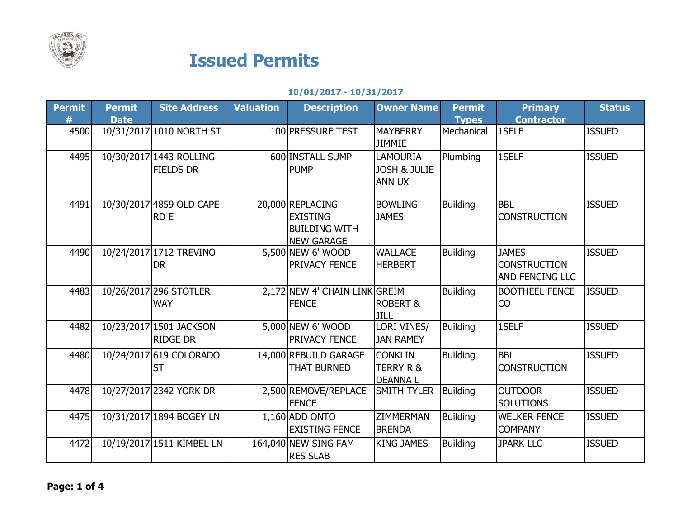

## Issued Permits

## 10/01/2017 - 10/31/2017

| Permit | <b>Permit</b> | <b>Site Address</b>                         | <b>Valuation</b> | <b>Description</b>                                                               | <b>Owner Name</b>                                           | <b>Permit</b>   | <b>Primary</b>                                                | <b>Status</b> |
|--------|---------------|---------------------------------------------|------------------|----------------------------------------------------------------------------------|-------------------------------------------------------------|-----------------|---------------------------------------------------------------|---------------|
|        | <b>Date</b>   |                                             |                  |                                                                                  |                                                             | <b>Types</b>    | <b>Contractor</b>                                             |               |
| 4500   |               | 10/31/2017 1010 NORTH ST                    |                  | 100 PRESSURE TEST                                                                | <b>MAYBERRY</b><br><b>JIMMIE</b>                            | Mechanical      | 1SELF                                                         | <b>ISSUED</b> |
| 4495   |               | 10/30/2017 1443 ROLLING<br><b>FIELDS DR</b> |                  | 600 INSTALL SUMP<br><b>PUMP</b>                                                  | <b>LAMOURIA</b><br><b>JOSH &amp; JULIE</b><br><b>ANN UX</b> | Plumbing        | 1SELF                                                         | <b>ISSUED</b> |
| 4491   |               | 10/30/2017 4859 OLD CAPE<br><b>RDE</b>      |                  | 20,000 REPLACING<br><b>EXISTING</b><br><b>BUILDING WITH</b><br><b>NEW GARAGE</b> | <b>BOWLING</b><br><b>JAMES</b>                              | <b>Building</b> | <b>BBL</b><br><b>CONSTRUCTION</b>                             | <b>ISSUED</b> |
| 4490   |               | 10/24/2017 1712 TREVINO<br><b>DR</b>        |                  | 5,500 NEW 6' WOOD<br><b>PRIVACY FENCE</b>                                        | <b>WALLACE</b><br><b>HERBERT</b>                            | <b>Building</b> | <b>JAMES</b><br><b>CONSTRUCTION</b><br><b>AND FENCING LLC</b> | <b>ISSUED</b> |
| 4483   |               | 10/26/2017 296 STOTLER<br><b>WAY</b>        |                  | 2,172 NEW 4' CHAIN LINK GREIM<br><b>FENCE</b>                                    | <b>ROBERT &amp;</b><br>JILL                                 | <b>Building</b> | <b>BOOTHEEL FENCE</b><br><b>CO</b>                            | <b>ISSUED</b> |
| 4482   |               | 10/23/2017 1501 JACKSON<br><b>RIDGE DR</b>  |                  | 5,000 NEW 6' WOOD<br><b>PRIVACY FENCE</b>                                        | LORI VINES/<br><b>JAN RAMEY</b>                             | <b>Building</b> | 1SELF                                                         | <b>ISSUED</b> |
| 4480   |               | 10/24/2017 619 COLORADO<br><b>ST</b>        |                  | 14,000 REBUILD GARAGE<br><b>THAT BURNED</b>                                      | <b>CONKLIN</b><br><b>TERRY R &amp;</b><br><b>DEANNAI</b>    | <b>Building</b> | <b>BBL</b><br><b>CONSTRUCTION</b>                             | <b>ISSUED</b> |
| 4478   |               | 10/27/2017 2342 YORK DR                     |                  | 2,500 REMOVE/REPLACE<br><b>FENCE</b>                                             | <b>SMITH TYLER</b>                                          | <b>Building</b> | <b>OUTDOOR</b><br><b>SOLUTIONS</b>                            | <b>ISSUED</b> |
| 4475   |               | 10/31/2017 1894 BOGEY LN                    |                  | 1,160 ADD ONTO<br><b>EXISTING FENCE</b>                                          | <b>ZIMMERMAN</b><br><b>BRENDA</b>                           | <b>Building</b> | <b>WELKER FENCE</b><br><b>COMPANY</b>                         | <b>ISSUED</b> |
| 4472   |               | 10/19/2017 1511 KIMBEL LN                   |                  | 164,040 NEW SING FAM<br><b>RES SLAB</b>                                          | <b>KING JAMES</b>                                           | <b>Building</b> | <b>JPARK LLC</b>                                              | <b>ISSUED</b> |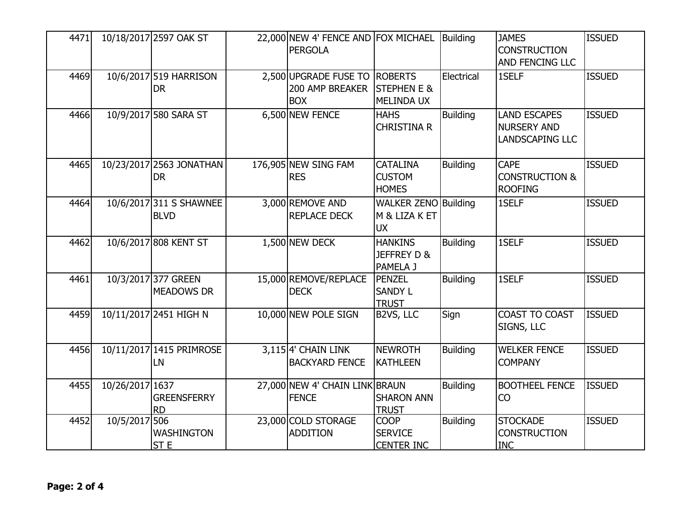| 4471 |                 | 10/18/2017 2597 OAK ST                   | 22,000 NEW 4' FENCE AND FOX MICHAEL<br>PERGOLA                 |                                                           | Building        | <b>JAMES</b><br><b>CONSTRUCTION</b><br>AND FENCING LLC              | <b>ISSUED</b> |
|------|-----------------|------------------------------------------|----------------------------------------------------------------|-----------------------------------------------------------|-----------------|---------------------------------------------------------------------|---------------|
| 4469 |                 | 10/6/2017 519 HARRISON<br><b>DR</b>      | 2,500 UPGRADE FUSE TO ROBERTS<br>200 AMP BREAKER<br><b>BOX</b> | <b>STEPHEN E &amp;</b><br><b>MELINDA UX</b>               | Electrical      | 1SELF                                                               | <b>ISSUED</b> |
| 4466 |                 | 10/9/2017 580 SARA ST                    | 6,500 NEW FENCE                                                | <b>HAHS</b><br><b>CHRISTINA R</b>                         | <b>Building</b> | <b>LAND ESCAPES</b><br><b>NURSERY AND</b><br><b>LANDSCAPING LLC</b> | <b>ISSUED</b> |
| 4465 |                 | 10/23/2017 2563 JONATHAN<br><b>DR</b>    | 176,905 NEW SING FAM<br><b>RES</b>                             | <b>CATALINA</b><br><b>CUSTOM</b><br><b>HOMES</b>          | <b>Building</b> | <b>CAPE</b><br><b>CONSTRUCTION &amp;</b><br><b>ROOFING</b>          | <b>ISSUED</b> |
| 4464 |                 | 10/6/2017 311 S SHAWNEE<br><b>BLVD</b>   | 3,000 REMOVE AND<br><b>REPLACE DECK</b>                        | <b>WALKER ZENO Building</b><br>M & LIZA K ET<br><b>UX</b> |                 | 1SELF                                                               | <b>ISSUED</b> |
| 4462 |                 | 10/6/2017 808 KENT ST                    | 1,500 NEW DECK                                                 | <b>HANKINS</b><br>JEFFREY D &<br>PAMELA J                 | <b>Building</b> | 1SELF                                                               | <b>ISSUED</b> |
| 4461 |                 | 10/3/2017 377 GREEN<br><b>MEADOWS DR</b> | 15,000 REMOVE/REPLACE<br><b>DECK</b>                           | <b>PENZEL</b><br><b>SANDY L</b><br><b>TRUST</b>           | <b>Building</b> | <b>1SELF</b>                                                        | <b>ISSUED</b> |
| 4459 |                 | 10/11/2017 2451 HIGH N                   | 10,000 NEW POLE SIGN                                           | B2VS, LLC                                                 | Sign            | <b>COAST TO COAST</b><br>SIGNS, LLC                                 | <b>ISSUED</b> |
| 4456 |                 | 10/11/2017 1415 PRIMROSE<br>LN           | $3,115$ <sup>4'</sup> CHAIN LINK<br><b>BACKYARD FENCE</b>      | <b>NEWROTH</b><br>KATHLEEN                                | <b>Building</b> | <b>WELKER FENCE</b><br><b>COMPANY</b>                               | <b>ISSUED</b> |
| 4455 | 10/26/2017 1637 | <b>GREENSFERRY</b><br><b>RD</b>          | 27,000 NEW 4' CHAIN LINK BRAUN<br><b>FENCE</b>                 | <b>SHARON ANN</b><br><b>TRUST</b>                         | <b>Building</b> | <b>BOOTHEEL FENCE</b><br>CO                                         | <b>ISSUED</b> |
| 4452 | 10/5/2017 506   | <b>WASHINGTON</b><br>ST <sub>E</sub>     | 23,000 COLD STORAGE<br><b>ADDITION</b>                         | <b>COOP</b><br><b>SERVICE</b><br><b>CENTER INC</b>        | <b>Building</b> | <b>STOCKADE</b><br><b>CONSTRUCTION</b><br><b>INC</b>                | <b>ISSUED</b> |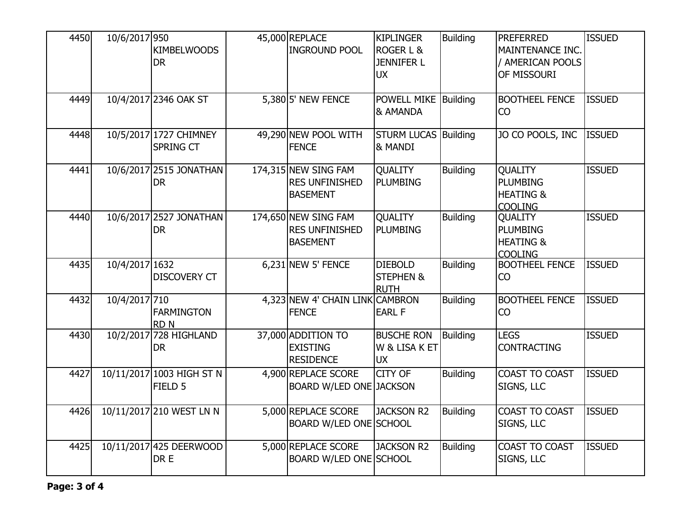| 4450 | 10/6/2017 950  | <b>KIMBELWOODS</b><br><b>DR</b>                 | 45,000 REPLACE<br><b>INGROUND POOL</b>                           | <b>KIPLINGER</b><br><b>ROGER L &amp;</b><br><b>JENNIFER L</b><br><b>UX</b> | <b>Building</b> | <b>PREFERRED</b><br>MAINTENANCE INC.<br>/ AMERICAN POOLS<br>OF MISSOURI     | <b>ISSUED</b> |
|------|----------------|-------------------------------------------------|------------------------------------------------------------------|----------------------------------------------------------------------------|-----------------|-----------------------------------------------------------------------------|---------------|
| 4449 |                | 10/4/2017 2346 OAK ST                           | $5,380$ 5' NEW FENCE                                             | POWELL MIKE Building<br>& AMANDA                                           |                 | <b>BOOTHEEL FENCE</b><br>CO                                                 | <b>ISSUED</b> |
| 4448 |                | 10/5/2017 1727 CHIMNEY<br><b>SPRING CT</b>      | 49,290 NEW POOL WITH<br><b>FENCE</b>                             | <b>STURM LUCAS Building</b><br>& MANDI                                     |                 | JO CO POOLS, INC                                                            | <b>ISSUED</b> |
| 4441 |                | 10/6/2017 2515 JONATHAN<br><b>DR</b>            | 174,315 NEW SING FAM<br><b>RES UNFINISHED</b><br><b>BASEMENT</b> | QUALITY<br><b>PLUMBING</b>                                                 | <b>Building</b> | <b>QUALITY</b><br><b>PLUMBING</b><br><b>HEATING &amp;</b><br><b>COOLING</b> | <b>ISSUED</b> |
| 4440 |                | 10/6/2017 2527 JONATHAN<br><b>DR</b>            | 174,650 NEW SING FAM<br><b>RES UNFINISHED</b><br><b>BASEMENT</b> | <b>QUALITY</b><br><b>PLUMBING</b>                                          | <b>Building</b> | <b>QUALITY</b><br><b>PLUMBING</b><br><b>HEATING &amp;</b><br><b>COOLING</b> | <b>ISSUED</b> |
| 4435 | 10/4/2017 1632 | <b>DISCOVERY CT</b>                             | $6,231$ NEW 5' FENCE                                             | <b>DIEBOLD</b><br><b>STEPHEN &amp;</b><br><b>RUTH</b>                      | <b>Building</b> | <b>BOOTHEEL FENCE</b><br>CO                                                 | <b>ISSUED</b> |
| 4432 | 10/4/2017 710  | <b>FARMINGTON</b><br><b>RDN</b>                 | 4,323 NEW 4' CHAIN LINK CAMBRON<br><b>FENCE</b>                  | <b>EARL F</b>                                                              | <b>Building</b> | <b>BOOTHEEL FENCE</b><br>CO                                                 | <b>ISSUED</b> |
| 4430 |                | 10/2/2017 728 HIGHLAND<br><b>DR</b>             | 37,000 ADDITION TO<br><b>EXISTING</b><br><b>RESIDENCE</b>        | <b>BUSCHE RON</b><br>W & LISA K ET<br><b>UX</b>                            | Building        | <b>LEGS</b><br><b>CONTRACTING</b>                                           | <b>ISSUED</b> |
| 4427 |                | 10/11/2017 1003 HIGH ST N<br>FIELD <sub>5</sub> | 4,900 REPLACE SCORE<br><b>BOARD W/LED ONE JACKSON</b>            | <b>CITY OF</b>                                                             | <b>Building</b> | COAST TO COAST<br>SIGNS, LLC                                                | <b>ISSUED</b> |
| 4426 |                | 10/11/2017 210 WEST LN N                        | 5,000 REPLACE SCORE<br>BOARD W/LED ONE SCHOOL                    | JACKSON R2                                                                 | <b>Building</b> | COAST TO COAST<br>SIGNS, LLC                                                | <b>ISSUED</b> |
| 4425 |                | 10/11/2017 425 DEERWOOD<br>DR E                 | 5,000 REPLACE SCORE<br>BOARD W/LED ONE SCHOOL                    | <b>JACKSON R2</b>                                                          | <b>Building</b> | COAST TO COAST<br>SIGNS, LLC                                                | <b>ISSUED</b> |